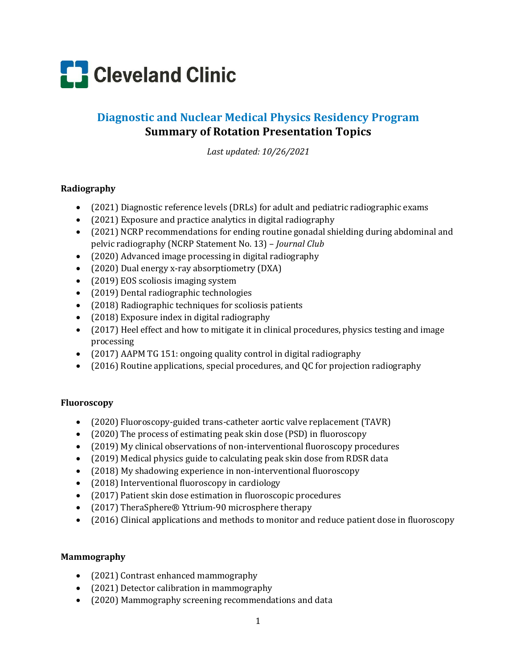

# **Diagnostic and Nuclear Medical Physics Residency Program Summary of Rotation Presentation Topics**

*Last updated: 10/26/2021*

## **Radiography**

- (2021) Diagnostic reference levels (DRLs) for adult and pediatric radiographic exams
- $\bullet$  (2021) Exposure and practice analytics in digital radiography
- (2021) NCRP recommendations for ending routine gonadal shielding during abdominal and pelvic radiography (NCRP Statement No. 13) – *Journal Club*
- (2020) Advanced image processing in digital radiography
- (2020) Dual energy x-ray absorptiometry (DXA)
- (2019) EOS scoliosis imaging system
- (2019) Dental radiographic technologies
- (2018) Radiographic techniques for scoliosis patients
- (2018) Exposure index in digital radiography
- (2017) Heel effect and how to mitigate it in clinical procedures, physics testing and image processing
- (2017) AAPM TG 151: ongoing quality control in digital radiography
- (2016) Routine applications, special procedures, and QC for projection radiography

#### **Fluoroscopy**

- (2020) Fluoroscopy-guided trans-catheter aortic valve replacement (TAVR)
- (2020) The process of estimating peak skin dose (PSD) in fluoroscopy
- (2019) My clinical observations of non-interventional fluoroscopy procedures
- (2019) Medical physics guide to calculating peak skin dose from RDSR data
- (2018) My shadowing experience in non-interventional fluoroscopy
- (2018) Interventional fluoroscopy in cardiology
- (2017) Patient skin dose estimation in fluoroscopic procedures
- (2017) TheraSphere® Yttrium-90 microsphere therapy
- (2016) Clinical applications and methods to monitor and reduce patient dose in fluoroscopy

#### **Mammography**

- (2021) Contrast enhanced mammography
- (2021) Detector calibration in mammography
- (2020) Mammography screening recommendations and data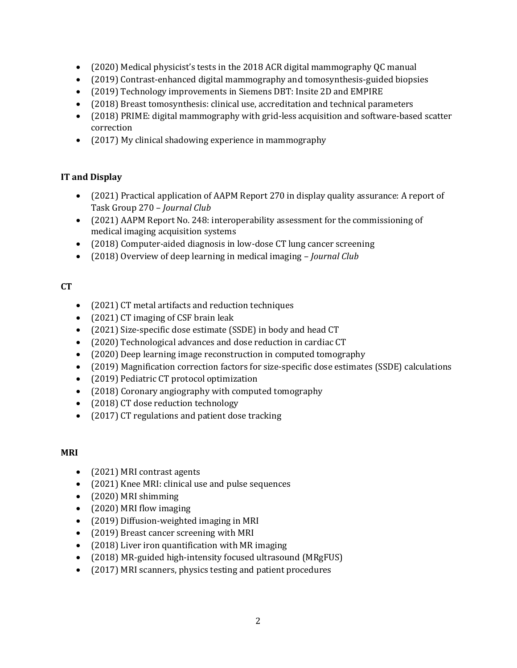- (2020) Medical physicist's tests in the 2018 ACR digital mammography QC manual
- (2019) Contrast-enhanced digital mammography and tomosynthesis-guided biopsies
- (2019) Technology improvements in Siemens DBT: Insite 2D and EMPIRE
- (2018) Breast tomosynthesis: clinical use, accreditation and technical parameters
- (2018) PRIME: digital mammography with grid-less acquisition and software-based scatter correction
- (2017) My clinical shadowing experience in mammography

# **IT and Display**

- (2021) Practical application of AAPM Report 270 in display quality assurance: A report of Task Group 270 – *Journal Club*
- (2021) AAPM Report No. 248: interoperability assessment for the commissioning of medical imaging acquisition systems
- (2018) Computer-aided diagnosis in low-dose CT lung cancer screening
- (2018) Overview of deep learning in medical imaging *Journal Club*

# **CT**

- (2021) CT metal artifacts and reduction techniques
- (2021) CT imaging of CSF brain leak
- (2021) Size-specific dose estimate (SSDE) in body and head CT
- (2020) Technological advances and dose reduction in cardiac CT
- (2020) Deep learning image reconstruction in computed tomography
- (2019) Magnification correction factors for size-specific dose estimates (SSDE) calculations
- (2019) Pediatric CT protocol optimization
- (2018) Coronary angiography with computed tomography
- (2018) CT dose reduction technology
- (2017) CT regulations and patient dose tracking

# **MRI**

- (2021) MRI contrast agents
- (2021) Knee MRI: clinical use and pulse sequences
- (2020) MRI shimming
- (2020) MRI flow imaging
- (2019) Diffusion-weighted imaging in MRI
- (2019) Breast cancer screening with MRI
- (2018) Liver iron quantification with MR imaging
- (2018) MR-guided high-intensity focused ultrasound (MRgFUS)
- (2017) MRI scanners, physics testing and patient procedures